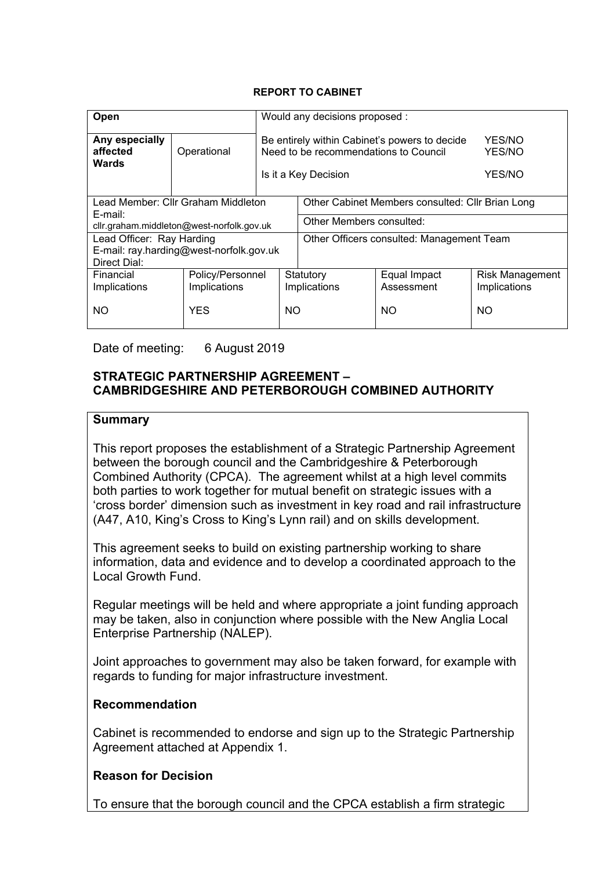#### **REPORT TO CABINET**

| Open                                                    |                                  | Would any decisions proposed :                                                         |                                                  |                            |                                        |
|---------------------------------------------------------|----------------------------------|----------------------------------------------------------------------------------------|--------------------------------------------------|----------------------------|----------------------------------------|
| Any especially<br>affected<br><b>Wards</b>              | Operational                      | Be entirely within Cabinet's powers to decide<br>Need to be recommendations to Council |                                                  |                            | YES/NO<br>YES/NO                       |
|                                                         |                                  | Is it a Key Decision                                                                   |                                                  |                            | YES/NO                                 |
| Lead Member: Cllr Graham Middleton                      |                                  |                                                                                        | Other Cabinet Members consulted: Cllr Brian Long |                            |                                        |
| E-mail:<br>cllr.graham.middleton@west-norfolk.gov.uk    |                                  |                                                                                        | Other Members consulted:                         |                            |                                        |
| Lead Officer: Ray Harding                               |                                  |                                                                                        | Other Officers consulted: Management Team        |                            |                                        |
| E-mail: ray.harding@west-norfolk.gov.uk<br>Direct Dial: |                                  |                                                                                        |                                                  |                            |                                        |
| Financial<br>Implications                               | Policy/Personnel<br>Implications |                                                                                        | Statutory<br>Implications                        | Equal Impact<br>Assessment | <b>Risk Management</b><br>Implications |
| <b>NO</b><br><b>YES</b><br>NO.                          |                                  |                                                                                        | NΟ                                               | NO.                        |                                        |

Date of meeting: 6 August 2019

### **STRATEGIC PARTNERSHIP AGREEMENT – CAMBRIDGESHIRE AND PETERBOROUGH COMBINED AUTHORITY**

### **Summary**

This report proposes the establishment of a Strategic Partnership Agreement between the borough council and the Cambridgeshire & Peterborough Combined Authority (CPCA). The agreement whilst at a high level commits both parties to work together for mutual benefit on strategic issues with a 'cross border' dimension such as investment in key road and rail infrastructure (A47, A10, King's Cross to King's Lynn rail) and on skills development.

This agreement seeks to build on existing partnership working to share information, data and evidence and to develop a coordinated approach to the Local Growth Fund.

Regular meetings will be held and where appropriate a joint funding approach may be taken, also in conjunction where possible with the New Anglia Local Enterprise Partnership (NALEP).

Joint approaches to government may also be taken forward, for example with regards to funding for major infrastructure investment.

### **Recommendation**

Cabinet is recommended to endorse and sign up to the Strategic Partnership Agreement attached at Appendix 1.

### **Reason for Decision**

To ensure that the borough council and the CPCA establish a firm strategic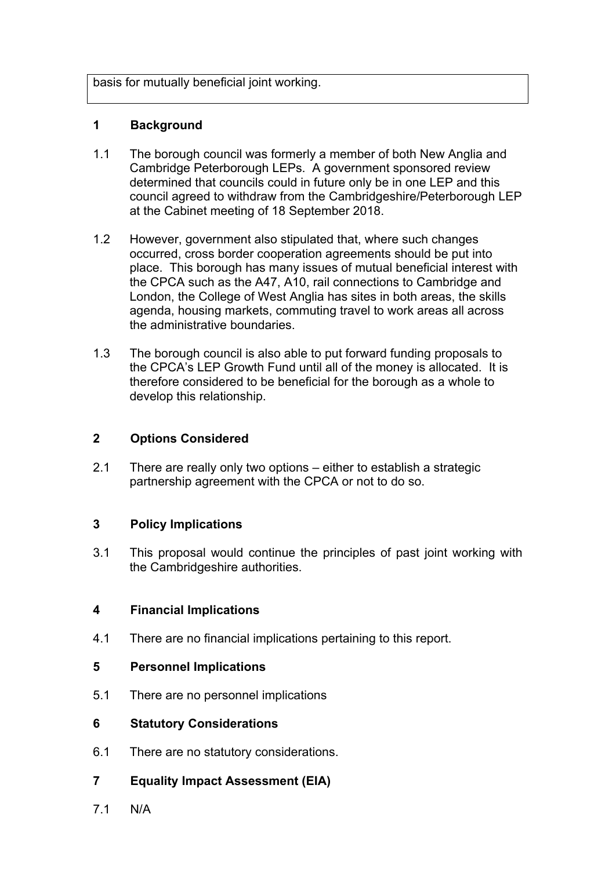basis for mutually beneficial joint working.

### **1 Background**

- 1.1 The borough council was formerly a member of both New Anglia and Cambridge Peterborough LEPs. A government sponsored review determined that councils could in future only be in one LEP and this council agreed to withdraw from the Cambridgeshire/Peterborough LEP at the Cabinet meeting of 18 September 2018.
- 1.2 However, government also stipulated that, where such changes occurred, cross border cooperation agreements should be put into place. This borough has many issues of mutual beneficial interest with the CPCA such as the A47, A10, rail connections to Cambridge and London, the College of West Anglia has sites in both areas, the skills agenda, housing markets, commuting travel to work areas all across the administrative boundaries.
- 1.3 The borough council is also able to put forward funding proposals to the CPCA's LEP Growth Fund until all of the money is allocated. It is therefore considered to be beneficial for the borough as a whole to develop this relationship.

### **2 Options Considered**

2.1 There are really only two options – either to establish a strategic partnership agreement with the CPCA or not to do so.

### **3 Policy Implications**

3.1 This proposal would continue the principles of past joint working with the Cambridgeshire authorities.

### **4 Financial Implications**

4.1 There are no financial implications pertaining to this report.

### **5 Personnel Implications**

5.1 There are no personnel implications

### **6 Statutory Considerations**

- 6.1 There are no statutory considerations.
- **7 Equality Impact Assessment (EIA)**
- 7.1 N/A